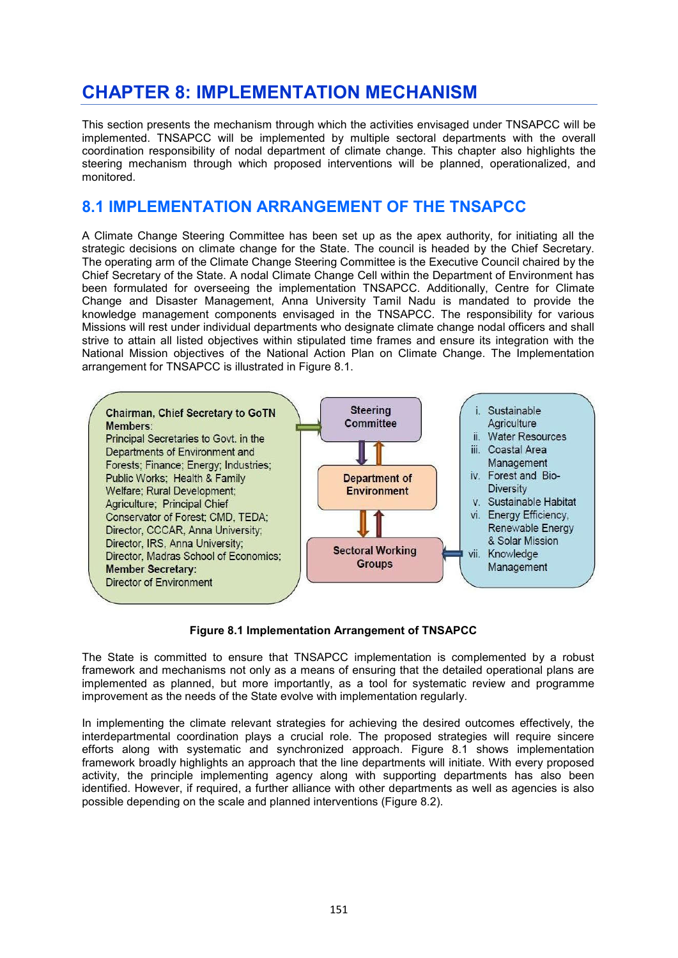# **CHAPTER 8: IMPLEMENTATION MECHANISM**

This section presents the mechanism through which the activities envisaged under TNSAPCC will be implemented. TNSAPCC will be implemented by multiple sectoral departments with the overall coordination responsibility of nodal department of climate change. This chapter also highlights the steering mechanism through which proposed interventions will be planned, operationalized, and monitored.

# **8.1 IMPLEMENTATION ARRANGEMENT OF THE TNSAPCC**

A Climate Change Steering Committee has been set up as the apex authority, for initiating all the strategic decisions on climate change for the State. The council is headed by the Chief Secretary. The operating arm of the Climate Change Steering Committee is the Executive Council chaired by the Chief Secretary of the State. A nodal Climate Change Cell within the Department of Environment has been formulated for overseeing the implementation TNSAPCC. Additionally, Centre for Climate Change and Disaster Management, Anna University Tamil Nadu is mandated to provide the knowledge management components envisaged in the TNSAPCC. The responsibility for various Missions will rest under individual departments who designate climate change nodal officers and shall strive to attain all listed objectives within stipulated time frames and ensure its integration with the National Mission objectives of the National Action Plan on Climate Change. The Implementation arrangement for TNSAPCC is illustrated in Figure 8.1.



# **Figure 8.1 Implementation Arrangement of TNSAPCC**

The State is committed to ensure that TNSAPCC implementation is complemented by a robust framework and mechanisms not only as a means of ensuring that the detailed operational plans are implemented as planned, but more importantly, as a tool for systematic review and programme improvement as the needs of the State evolve with implementation regularly.

In implementing the climate relevant strategies for achieving the desired outcomes effectively, the interdepartmental coordination plays a crucial role. The proposed strategies will require sincere efforts along with systematic and synchronized approach. Figure 8.1 shows implementation framework broadly highlights an approach that the line departments will initiate. With every proposed activity, the principle implementing agency along with supporting departments has also been identified. However, if required, a further alliance with other departments as well as agencies is also possible depending on the scale and planned interventions (Figure 8.2).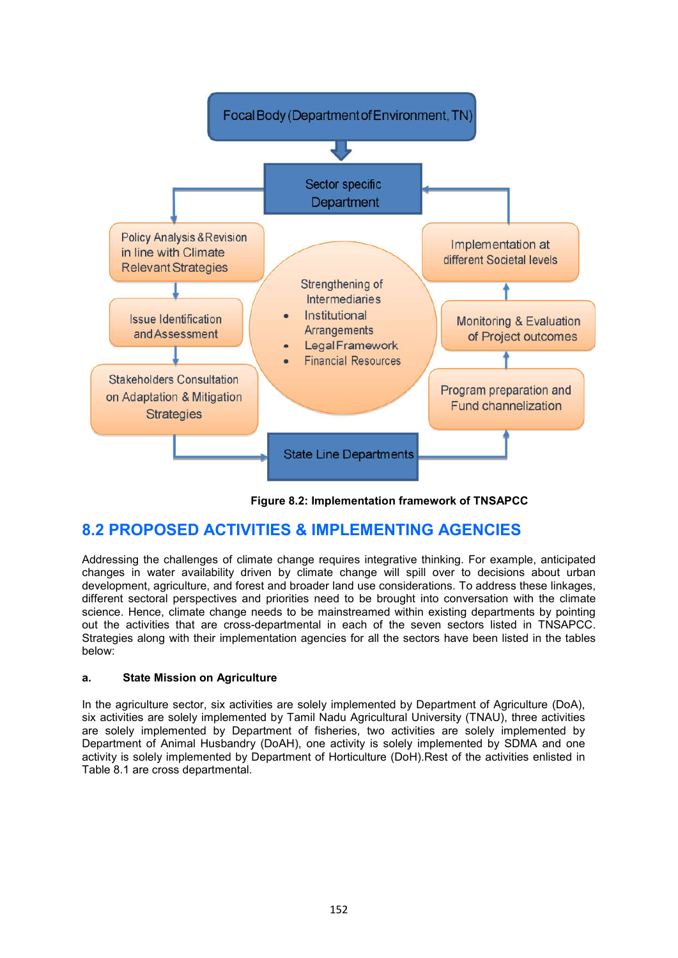

**Figure 8.2: Implementation framework of TNSAPCC**

# **8.2 PROPOSED ACTIVITIES & IMPLEMENTING AGENCIES**

Addressing the challenges of climate change requires integrative thinking. For example, anticipated changes in water availability driven by climate change will spill over to decisions about urban development, agriculture, and forest and broader land use considerations. To address these linkages, different sectoral perspectives and priorities need to be brought into conversation with the climate science. Hence, climate change needs to be mainstreamed within existing departments by pointing out the activities that are cross-departmental in each of the seven sectors listed in TNSAPCC. Strategies along with their implementation agencies for all the sectors have been listed in the tables below:

# **a. State Mission on Agriculture**

In the agriculture sector, six activities are solely implemented by Department of Agriculture (DoA), six activities are solely implemented by Tamil Nadu Agricultural University (TNAU), three activities are solely implemented by Department of fisheries, two activities are solely implemented by Department of Animal Husbandry (DoAH), one activity is solely implemented by SDMA and one activity is solely implemented by Department of Horticulture (DoH).Rest of the activities enlisted in Table 8.1 are cross departmental.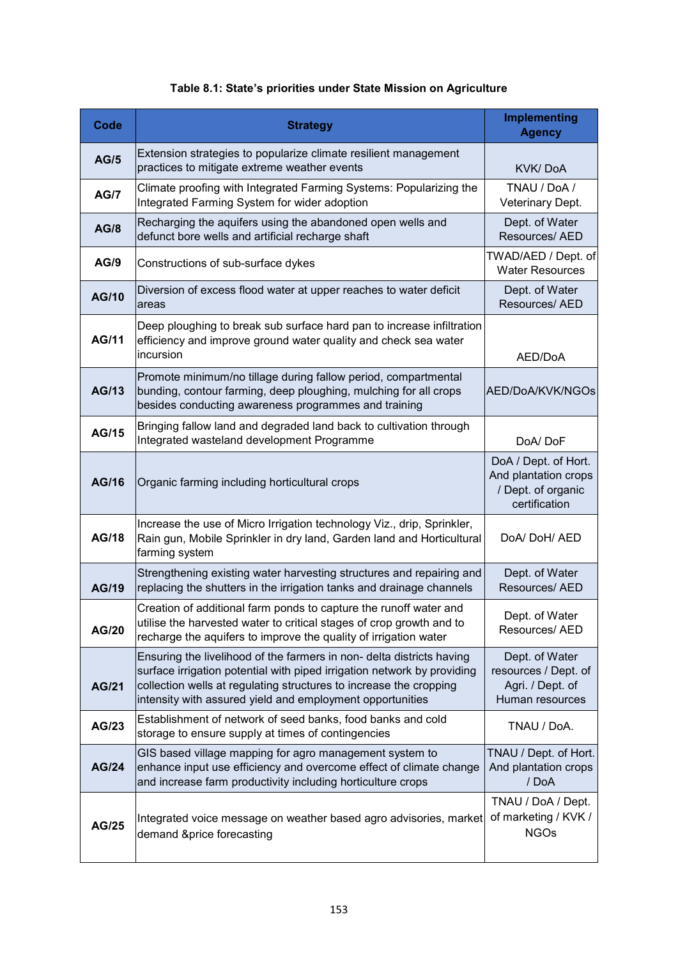# **Table 8.1: State's priorities under State Mission on Agriculture**

| <b>Code</b>  | <b>Strategy</b>                                                                                                                                                                                                                                                                     | Implementing<br><b>Agency</b>                                                       |
|--------------|-------------------------------------------------------------------------------------------------------------------------------------------------------------------------------------------------------------------------------------------------------------------------------------|-------------------------------------------------------------------------------------|
| <b>AG/5</b>  | Extension strategies to popularize climate resilient management<br>practices to mitigate extreme weather events                                                                                                                                                                     | KVK/DoA                                                                             |
| <b>AG/7</b>  | Climate proofing with Integrated Farming Systems: Popularizing the<br>Integrated Farming System for wider adoption                                                                                                                                                                  | TNAU / DoA /<br>Veterinary Dept.                                                    |
| <b>AG/8</b>  | Recharging the aquifers using the abandoned open wells and<br>defunct bore wells and artificial recharge shaft                                                                                                                                                                      | Dept. of Water<br>Resources/ AED                                                    |
| AG/9         | Constructions of sub-surface dykes                                                                                                                                                                                                                                                  | TWAD/AED / Dept. of<br><b>Water Resources</b>                                       |
| <b>AG/10</b> | Diversion of excess flood water at upper reaches to water deficit<br>areas                                                                                                                                                                                                          | Dept. of Water<br>Resources/ AED                                                    |
| <b>AG/11</b> | Deep ploughing to break sub surface hard pan to increase infiltration<br>efficiency and improve ground water quality and check sea water<br>incursion                                                                                                                               | AED/DoA                                                                             |
| <b>AG/13</b> | Promote minimum/no tillage during fallow period, compartmental<br>bunding, contour farming, deep ploughing, mulching for all crops<br>besides conducting awareness programmes and training                                                                                          | AED/DoA/KVK/NGOs                                                                    |
| <b>AG/15</b> | Bringing fallow land and degraded land back to cultivation through<br>Integrated wasteland development Programme                                                                                                                                                                    | DoA/DoF                                                                             |
| <b>AG/16</b> | Organic farming including horticultural crops                                                                                                                                                                                                                                       | DoA / Dept. of Hort.<br>And plantation crops<br>/ Dept. of organic<br>certification |
| <b>AG/18</b> | Increase the use of Micro Irrigation technology Viz., drip, Sprinkler,<br>Rain gun, Mobile Sprinkler in dry land, Garden land and Horticultural<br>farming system                                                                                                                   | DoA/DoH/AED                                                                         |
| <b>AG/19</b> | Strengthening existing water harvesting structures and repairing and<br>replacing the shutters in the irrigation tanks and drainage channels                                                                                                                                        | Dept. of Water<br>Resources/ AED                                                    |
| <b>AG/20</b> | Creation of additional farm ponds to capture the runoff water and<br>utilise the harvested water to critical stages of crop growth and to<br>recharge the aquifers to improve the quality of irrigation water                                                                       | Dept. of Water<br>Resources/ AED                                                    |
| <b>AG/21</b> | Ensuring the livelihood of the farmers in non- delta districts having<br>surface irrigation potential with piped irrigation network by providing<br>collection wells at regulating structures to increase the cropping<br>intensity with assured yield and employment opportunities | Dept. of Water<br>resources / Dept. of<br>Agri. / Dept. of<br>Human resources       |
| AG/23        | Establishment of network of seed banks, food banks and cold<br>storage to ensure supply at times of contingencies                                                                                                                                                                   | TNAU / DoA.                                                                         |
| <b>AG/24</b> | GIS based village mapping for agro management system to<br>enhance input use efficiency and overcome effect of climate change<br>and increase farm productivity including horticulture crops                                                                                        | TNAU / Dept. of Hort.<br>And plantation crops<br>/ DoA                              |
| <b>AG/25</b> | Integrated voice message on weather based agro advisories, market<br>demand &price forecasting                                                                                                                                                                                      | TNAU / DoA / Dept.<br>of marketing / KVK /<br><b>NGOs</b>                           |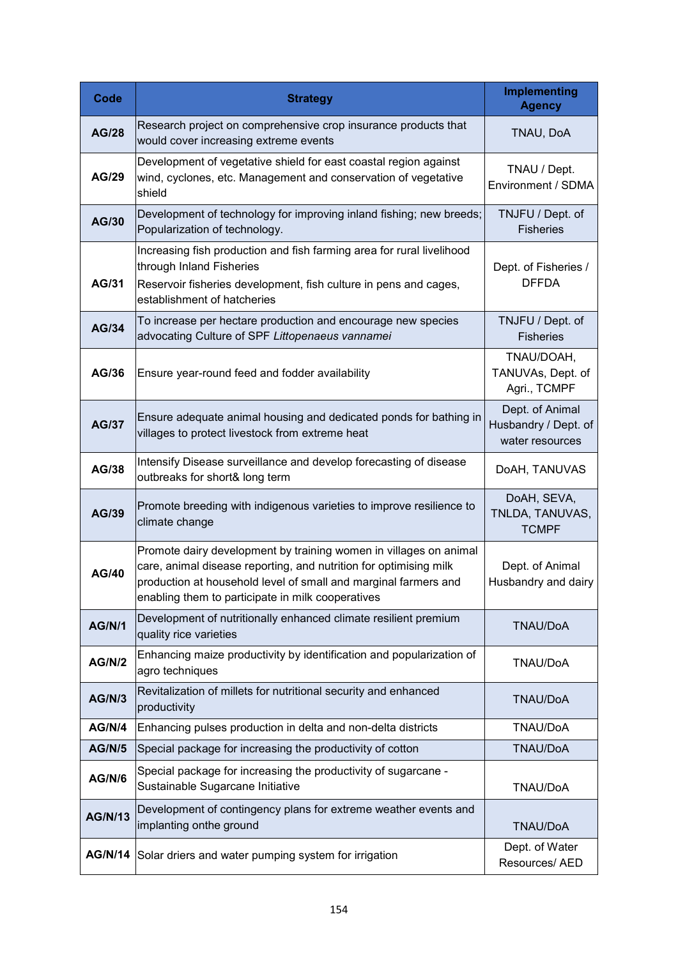| Code           | <b>Strategy</b>                                                                                                                                                                                                                                                | <b>Implementing</b><br><b>Agency</b>                       |
|----------------|----------------------------------------------------------------------------------------------------------------------------------------------------------------------------------------------------------------------------------------------------------------|------------------------------------------------------------|
| <b>AG/28</b>   | Research project on comprehensive crop insurance products that<br>would cover increasing extreme events                                                                                                                                                        | TNAU, DoA                                                  |
| <b>AG/29</b>   | Development of vegetative shield for east coastal region against<br>wind, cyclones, etc. Management and conservation of vegetative<br>shield                                                                                                                   | TNAU / Dept.<br>Environment / SDMA                         |
| AG/30          | Development of technology for improving inland fishing; new breeds;<br>Popularization of technology.                                                                                                                                                           | TNJFU / Dept. of<br><b>Fisheries</b>                       |
| AG/31          | Increasing fish production and fish farming area for rural livelihood<br>through Inland Fisheries<br>Reservoir fisheries development, fish culture in pens and cages,<br>establishment of hatcheries                                                           | Dept. of Fisheries /<br><b>DFFDA</b>                       |
| <b>AG/34</b>   | To increase per hectare production and encourage new species<br>advocating Culture of SPF Littopenaeus vannamei                                                                                                                                                | TNJFU / Dept. of<br><b>Fisheries</b>                       |
| AG/36          | Ensure year-round feed and fodder availability                                                                                                                                                                                                                 | TNAU/DOAH,<br>TANUVAs, Dept. of<br>Agri., TCMPF            |
| <b>AG/37</b>   | Ensure adequate animal housing and dedicated ponds for bathing in<br>villages to protect livestock from extreme heat                                                                                                                                           | Dept. of Animal<br>Husbandry / Dept. of<br>water resources |
| AG/38          | Intensify Disease surveillance and develop forecasting of disease<br>outbreaks for short& long term                                                                                                                                                            | DoAH, TANUVAS                                              |
| <b>AG/39</b>   | Promote breeding with indigenous varieties to improve resilience to<br>climate change                                                                                                                                                                          | DoAH, SEVA,<br>TNLDA, TANUVAS,<br><b>TCMPF</b>             |
| <b>AG/40</b>   | Promote dairy development by training women in villages on animal<br>care, animal disease reporting, and nutrition for optimising milk<br>production at household level of small and marginal farmers and<br>enabling them to participate in milk cooperatives | Dept. of Animal<br>Husbandry and dairy                     |
| <b>AG/N/1</b>  | Development of nutritionally enhanced climate resilient premium<br>quality rice varieties                                                                                                                                                                      | <b>TNAU/DoA</b>                                            |
| <b>AG/N/2</b>  | Enhancing maize productivity by identification and popularization of<br>agro techniques                                                                                                                                                                        | <b>TNAU/DoA</b>                                            |
| <b>AG/N/3</b>  | Revitalization of millets for nutritional security and enhanced<br>productivity                                                                                                                                                                                | TNAU/DoA                                                   |
| AG/N/4         | Enhancing pulses production in delta and non-delta districts                                                                                                                                                                                                   | TNAU/DoA                                                   |
| <b>AG/N/5</b>  | Special package for increasing the productivity of cotton                                                                                                                                                                                                      | TNAU/DoA                                                   |
| <b>AG/N/6</b>  | Special package for increasing the productivity of sugarcane -<br>Sustainable Sugarcane Initiative                                                                                                                                                             | TNAU/DoA                                                   |
| <b>AG/N/13</b> | Development of contingency plans for extreme weather events and<br>implanting onthe ground                                                                                                                                                                     | TNAU/DoA                                                   |
|                | AG/N/14 Solar driers and water pumping system for irrigation                                                                                                                                                                                                   | Dept. of Water<br>Resources/ AED                           |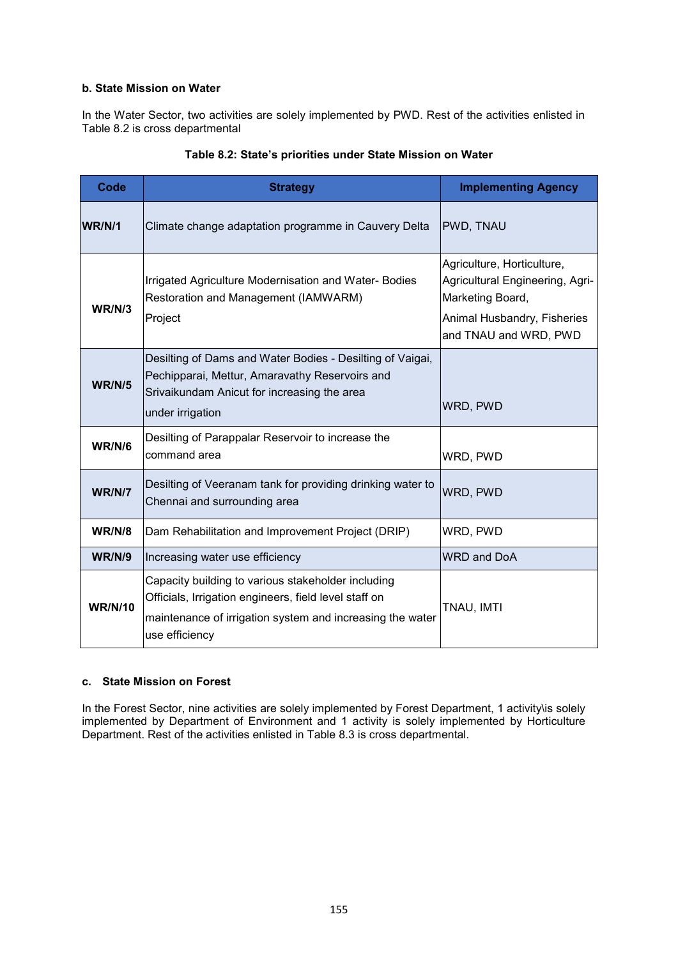# **b. State Mission on Water**

In the Water Sector, two activities are solely implemented by PWD. Rest of the activities enlisted in Table 8.2 is cross departmental

| Code           | <b>Strategy</b>                                                                                                                                                                            | <b>Implementing Agency</b>                                                                                                                |
|----------------|--------------------------------------------------------------------------------------------------------------------------------------------------------------------------------------------|-------------------------------------------------------------------------------------------------------------------------------------------|
| WR/N/1         | Climate change adaptation programme in Cauvery Delta                                                                                                                                       | PWD, TNAU                                                                                                                                 |
| WR/N/3         | Irrigated Agriculture Modernisation and Water- Bodies<br>Restoration and Management (IAMWARM)<br>Project                                                                                   | Agriculture, Horticulture,<br>Agricultural Engineering, Agri-<br>Marketing Board,<br>Animal Husbandry, Fisheries<br>and TNAU and WRD, PWD |
| <b>WR/N/5</b>  | Desilting of Dams and Water Bodies - Desilting of Vaigai,<br>Pechipparai, Mettur, Amaravathy Reservoirs and<br>Srivaikundam Anicut for increasing the area<br>under irrigation             | WRD, PWD                                                                                                                                  |
| <b>WR/N/6</b>  | Desilting of Parappalar Reservoir to increase the<br>command area                                                                                                                          | WRD, PWD                                                                                                                                  |
| <b>WR/N/7</b>  | Desilting of Veeranam tank for providing drinking water to<br>Chennai and surrounding area                                                                                                 | WRD, PWD                                                                                                                                  |
| <b>WR/N/8</b>  | Dam Rehabilitation and Improvement Project (DRIP)                                                                                                                                          | WRD, PWD                                                                                                                                  |
| <b>WR/N/9</b>  | Increasing water use efficiency                                                                                                                                                            | <b>WRD and DoA</b>                                                                                                                        |
| <b>WR/N/10</b> | Capacity building to various stakeholder including<br>Officials, Irrigation engineers, field level staff on<br>maintenance of irrigation system and increasing the water<br>use efficiency | TNAU, IMTI                                                                                                                                |

# **Table 8.2: State's priorities under State Mission on Water**

#### **c. State Mission on Forest**

In the Forest Sector, nine activities are solely implemented by Forest Department, 1 activity\is solely implemented by Department of Environment and 1 activity is solely implemented by Horticulture Department. Rest of the activities enlisted in Table 8.3 is cross departmental.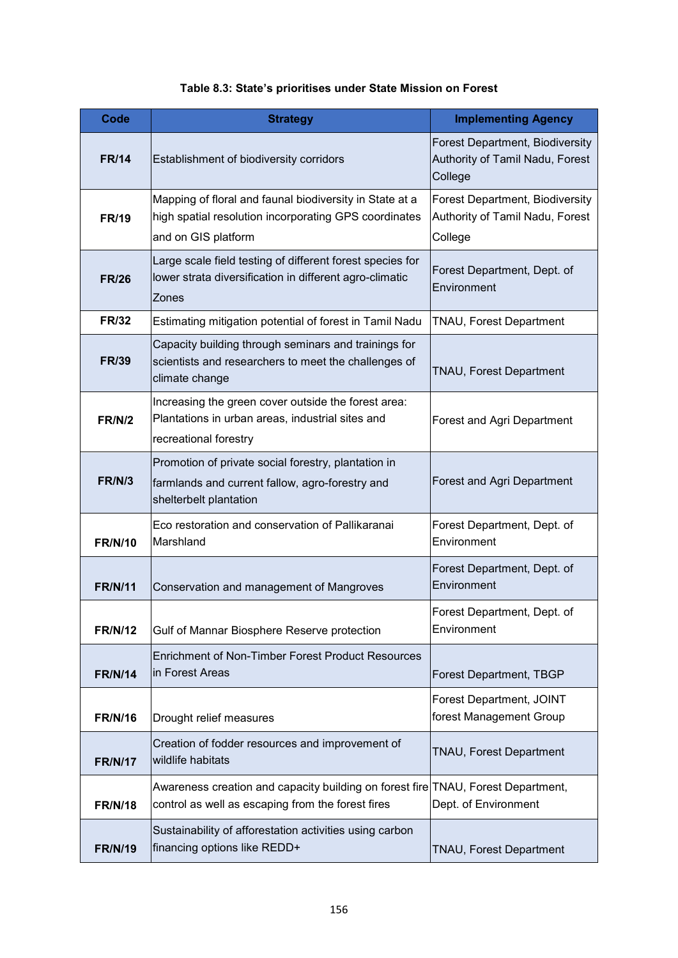|  | Table 8.3: State's prioritises under State Mission on Forest |
|--|--------------------------------------------------------------|
|--|--------------------------------------------------------------|

| <b>Code</b>    | <b>Strategy</b>                                                                                                                         | <b>Implementing Agency</b>                                                           |  |
|----------------|-----------------------------------------------------------------------------------------------------------------------------------------|--------------------------------------------------------------------------------------|--|
| <b>FR/14</b>   | Establishment of biodiversity corridors                                                                                                 | <b>Forest Department, Biodiversity</b><br>Authority of Tamil Nadu, Forest<br>College |  |
| <b>FR/19</b>   | Mapping of floral and faunal biodiversity in State at a<br>high spatial resolution incorporating GPS coordinates<br>and on GIS platform | Forest Department, Biodiversity<br>Authority of Tamil Nadu, Forest<br>College        |  |
| <b>FR/26</b>   | Large scale field testing of different forest species for<br>lower strata diversification in different agro-climatic<br>Zones           | Forest Department, Dept. of<br>Environment                                           |  |
| <b>FR/32</b>   | Estimating mitigation potential of forest in Tamil Nadu                                                                                 | <b>TNAU, Forest Department</b>                                                       |  |
| <b>FR/39</b>   | Capacity building through seminars and trainings for<br>scientists and researchers to meet the challenges of<br>climate change          | TNAU, Forest Department                                                              |  |
| <b>FR/N/2</b>  | Increasing the green cover outside the forest area:<br>Plantations in urban areas, industrial sites and<br>recreational forestry        | Forest and Agri Department                                                           |  |
| <b>FR/N/3</b>  | Promotion of private social forestry, plantation in<br>farmlands and current fallow, agro-forestry and<br>shelterbelt plantation        | Forest and Agri Department                                                           |  |
| <b>FR/N/10</b> | Eco restoration and conservation of Pallikaranai<br>Marshland                                                                           | Forest Department, Dept. of<br>Environment                                           |  |
| <b>FR/N/11</b> | Conservation and management of Mangroves                                                                                                | Forest Department, Dept. of<br>Environment                                           |  |
| <b>FR/N/12</b> | Gulf of Mannar Biosphere Reserve protection                                                                                             | Forest Department, Dept. of<br>Environment                                           |  |
| <b>FR/N/14</b> | <b>Enrichment of Non-Timber Forest Product Resources</b><br>in Forest Areas                                                             | <b>Forest Department, TBGP</b>                                                       |  |
| <b>FR/N/16</b> | Drought relief measures                                                                                                                 | Forest Department, JOINT<br>forest Management Group                                  |  |
| <b>FR/N/17</b> | Creation of fodder resources and improvement of<br>wildlife habitats                                                                    | TNAU, Forest Department                                                              |  |
| <b>FR/N/18</b> | Awareness creation and capacity building on forest fire TNAU, Forest Department,<br>control as well as escaping from the forest fires   | Dept. of Environment                                                                 |  |
| <b>FR/N/19</b> | Sustainability of afforestation activities using carbon<br>financing options like REDD+                                                 | TNAU, Forest Department                                                              |  |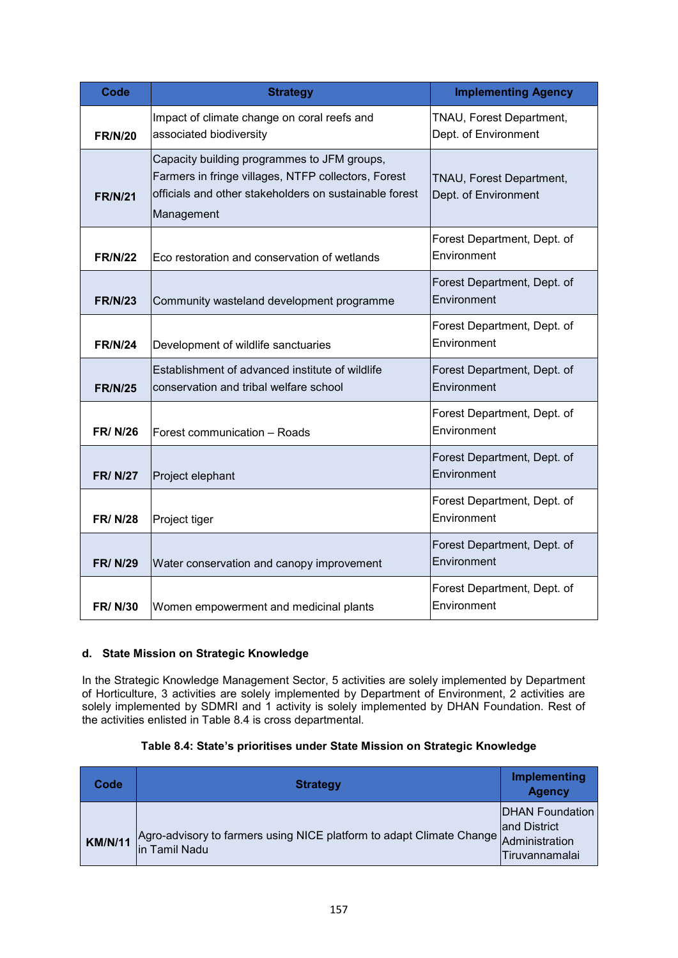| Code           | <b>Strategy</b>                                                                                                                                                            | <b>Implementing Agency</b>                       |
|----------------|----------------------------------------------------------------------------------------------------------------------------------------------------------------------------|--------------------------------------------------|
| <b>FR/N/20</b> | Impact of climate change on coral reefs and<br>associated biodiversity                                                                                                     | TNAU, Forest Department,<br>Dept. of Environment |
| <b>FR/N/21</b> | Capacity building programmes to JFM groups,<br>Farmers in fringe villages, NTFP collectors, Forest<br>officials and other stakeholders on sustainable forest<br>Management | TNAU, Forest Department,<br>Dept. of Environment |
| <b>FR/N/22</b> | Eco restoration and conservation of wetlands                                                                                                                               | Forest Department, Dept. of<br>Environment       |
| <b>FR/N/23</b> | Community wasteland development programme                                                                                                                                  | Forest Department, Dept. of<br>Environment       |
| <b>FR/N/24</b> | Development of wildlife sanctuaries                                                                                                                                        | Forest Department, Dept. of<br>Environment       |
| <b>FR/N/25</b> | Establishment of advanced institute of wildlife<br>conservation and tribal welfare school                                                                                  | Forest Department, Dept. of<br>Environment       |
| <b>FR/N/26</b> | Forest communication - Roads                                                                                                                                               | Forest Department, Dept. of<br>Environment       |
| <b>FR/N/27</b> | Project elephant                                                                                                                                                           | Forest Department, Dept. of<br>Environment       |
| <b>FR/N/28</b> | Project tiger                                                                                                                                                              | Forest Department, Dept. of<br>Environment       |
| <b>FR/N/29</b> | Water conservation and canopy improvement                                                                                                                                  | Forest Department, Dept. of<br>Environment       |
| <b>FR/N/30</b> | Women empowerment and medicinal plants                                                                                                                                     | Forest Department, Dept. of<br>Environment       |

# **d. State Mission on Strategic Knowledge**

In the Strategic Knowledge Management Sector, 5 activities are solely implemented by Department of Horticulture, 3 activities are solely implemented by Department of Environment, 2 activities are solely implemented by SDMRI and 1 activity is solely implemented by DHAN Foundation. Rest of the activities enlisted in Table 8.4 is cross departmental.

| Table 8.4: State's prioritises under State Mission on Strategic Knowledge |
|---------------------------------------------------------------------------|
|---------------------------------------------------------------------------|

| Code           | <b>Strategy</b>                                                                                       | <b>Implementing</b><br><b>Agency</b>              |
|----------------|-------------------------------------------------------------------------------------------------------|---------------------------------------------------|
| <b>KM/N/11</b> | Agro-advisory to farmers using NICE platform to adapt Climate Change Administration<br>lin Tamil Nadu | DHAN Foundation<br>and District<br>Tiruvannamalai |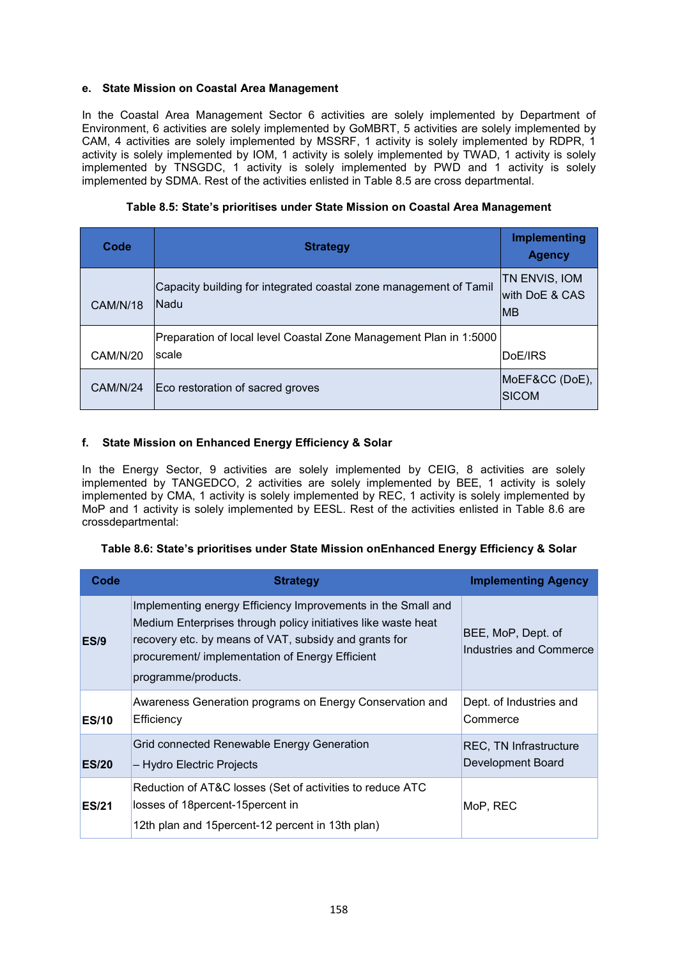## **e. State Mission on Coastal Area Management**

In the Coastal Area Management Sector 6 activities are solely implemented by Department of Environment, 6 activities are solely implemented by GoMBRT, 5 activities are solely implemented by CAM, 4 activities are solely implemented by MSSRF, 1 activity is solely implemented by RDPR, 1 activity is solely implemented by IOM, 1 activity is solely implemented by TWAD, 1 activity is solely implemented by TNSGDC, 1 activity is solely implemented by PWD and 1 activity is solely implemented by SDMA. Rest of the activities enlisted in Table 8.5 are cross departmental.

|  |  | Table 8.5: State's prioritises under State Mission on Coastal Area Management |
|--|--|-------------------------------------------------------------------------------|
|--|--|-------------------------------------------------------------------------------|

| Code            | <b>Strategy</b>                                                           | Implementing<br><b>Agency</b>                 |
|-----------------|---------------------------------------------------------------------------|-----------------------------------------------|
| <b>CAM/N/18</b> | Capacity building for integrated coastal zone management of Tamil<br>Nadu | TN ENVIS, IOM<br>with DoE & CAS<br><b>IMB</b> |
|                 | Preparation of local level Coastal Zone Management Plan in 1:5000         |                                               |
| <b>CAM/N/20</b> | scale                                                                     | DoE/IRS                                       |
| CAM/N/24        | Eco restoration of sacred groves                                          | MoEF&CC (DoE),<br><b>SICOM</b>                |

# **f. State Mission on Enhanced Energy Efficiency & Solar**

In the Energy Sector, 9 activities are solely implemented by CEIG, 8 activities are solely implemented by TANGEDCO, 2 activities are solely implemented by BEE, 1 activity is solely implemented by CMA, 1 activity is solely implemented by REC, 1 activity is solely implemented by MoP and 1 activity is solely implemented by EESL. Rest of the activities enlisted in Table 8.6 are crossdepartmental:

| Table 8.6: State's prioritises under State Mission onEnhanced Energy Efficiency & Solar |  |  |  |  |  |  |  |
|-----------------------------------------------------------------------------------------|--|--|--|--|--|--|--|
|-----------------------------------------------------------------------------------------|--|--|--|--|--|--|--|

| Code         | <b>Strategy</b>                                                                                                                                                                                                                                                  | <b>Implementing Agency</b>                         |
|--------------|------------------------------------------------------------------------------------------------------------------------------------------------------------------------------------------------------------------------------------------------------------------|----------------------------------------------------|
| <b>ES/9</b>  | Implementing energy Efficiency Improvements in the Small and<br>Medium Enterprises through policy initiatives like waste heat<br>recovery etc. by means of VAT, subsidy and grants for<br>procurement/ implementation of Energy Efficient<br>programme/products. | BEE, MoP, Dept. of<br>Industries and Commerce      |
| <b>ES/10</b> | Awareness Generation programs on Energy Conservation and<br>Efficiency                                                                                                                                                                                           | Dept. of Industries and<br>Commerce                |
| <b>ES/20</b> | Grid connected Renewable Energy Generation<br>– Hydro Electric Projects                                                                                                                                                                                          | <b>REC, TN Infrastructure</b><br>Development Board |
| <b>ES/21</b> | Reduction of AT&C losses (Set of activities to reduce ATC<br>losses of 18 percent-15 percent in<br>12th plan and 15 percent-12 percent in 13th plan)                                                                                                             | MoP, REC                                           |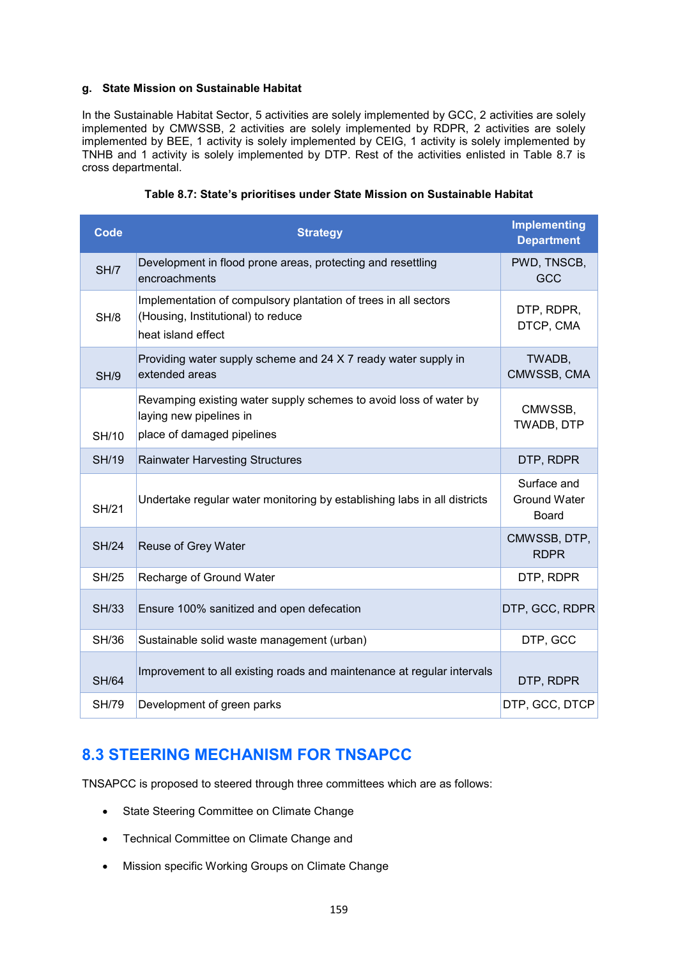### **g. State Mission on Sustainable Habitat**

In the Sustainable Habitat Sector, 5 activities are solely implemented by GCC, 2 activities are solely implemented by CMWSSB, 2 activities are solely implemented by RDPR, 2 activities are solely implemented by BEE, 1 activity is solely implemented by CEIG, 1 activity is solely implemented by TNHB and 1 activity is solely implemented by DTP. Rest of the activities enlisted in Table 8.7 is cross departmental.

| <b>Code</b>  | <b>Strategy</b>                                                                                                             | <b>Implementing</b><br><b>Department</b>           |
|--------------|-----------------------------------------------------------------------------------------------------------------------------|----------------------------------------------------|
| SH/7         | Development in flood prone areas, protecting and resettling<br>encroachments                                                | PWD, TNSCB,<br><b>GCC</b>                          |
| SH/8         | Implementation of compulsory plantation of trees in all sectors<br>(Housing, Institutional) to reduce<br>heat island effect | DTP, RDPR,<br>DTCP, CMA                            |
| SH/9         | Providing water supply scheme and 24 X 7 ready water supply in<br>extended areas                                            | TWADB,<br>CMWSSB, CMA                              |
| SH/10        | Revamping existing water supply schemes to avoid loss of water by<br>laying new pipelines in<br>place of damaged pipelines  | CMWSSB,<br>TWADB, DTP                              |
| <b>SH/19</b> | <b>Rainwater Harvesting Structures</b>                                                                                      | DTP, RDPR                                          |
| <b>SH/21</b> | Undertake regular water monitoring by establishing labs in all districts                                                    | Surface and<br><b>Ground Water</b><br><b>Board</b> |
| <b>SH/24</b> | Reuse of Grey Water                                                                                                         | CMWSSB, DTP,<br><b>RDPR</b>                        |
| <b>SH/25</b> | Recharge of Ground Water                                                                                                    | DTP, RDPR                                          |
| <b>SH/33</b> | Ensure 100% sanitized and open defecation                                                                                   | DTP, GCC, RDPR                                     |
| <b>SH/36</b> | Sustainable solid waste management (urban)                                                                                  | DTP, GCC                                           |
| <b>SH/64</b> | Improvement to all existing roads and maintenance at regular intervals                                                      | DTP, RDPR                                          |
| <b>SH/79</b> | Development of green parks                                                                                                  | DTP, GCC, DTCP                                     |

#### **Table 8.7: State's prioritises under State Mission on Sustainable Habitat**

# **8.3 STEERING MECHANISM FOR TNSAPCC**

TNSAPCC is proposed to steered through three committees which are as follows:

- State Steering Committee on Climate Change
- Technical Committee on Climate Change and
- Mission specific Working Groups on Climate Change